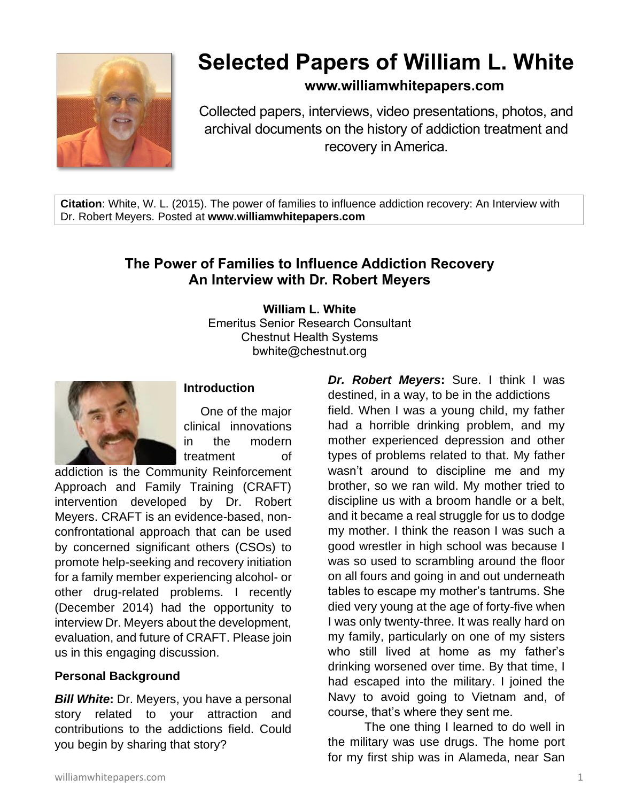

# **Selected Papers of William L. White**

## **www.williamwhitepapers.com**

Collected papers, interviews, video presentations, photos, and archival documents on the history of addiction treatment and recovery in America.

**Citation**: White, W. L. (2015). The power of families to influence addiction recovery: An Interview with Dr. Robert Meyers. Posted at **www.williamwhitepapers.com**

# **The Power of Families to Influence Addiction Recovery An Interview with Dr. Robert Meyers**

**William L. White** Emeritus Senior Research Consultant Chestnut Health Systems bwhite@chestnut.org



#### **Introduction**

One of the major clinical innovations in the modern treatment of

addiction is the Community Reinforcement Approach and Family Training (CRAFT) intervention developed by Dr. Robert Meyers. CRAFT is an evidence-based, nonconfrontational approach that can be used by concerned significant others (CSOs) to promote help-seeking and recovery initiation for a family member experiencing alcohol- or other drug-related problems. I recently (December 2014) had the opportunity to interview Dr. Meyers about the development, evaluation, and future of CRAFT. Please join us in this engaging discussion.

## **Personal Background**

*Bill White***:** Dr. Meyers, you have a personal story related to your attraction and contributions to the addictions field. Could you begin by sharing that story?

*Dr. Robert Meyers***:** Sure. I think I was destined, in a way, to be in the addictions field. When I was a young child, my father had a horrible drinking problem, and my mother experienced depression and other types of problems related to that. My father wasn't around to discipline me and my brother, so we ran wild. My mother tried to discipline us with a broom handle or a belt, and it became a real struggle for us to dodge my mother. I think the reason I was such a good wrestler in high school was because I was so used to scrambling around the floor on all fours and going in and out underneath tables to escape my mother's tantrums. She died very young at the age of forty-five when I was only twenty-three. It was really hard on my family, particularly on one of my sisters who still lived at home as my father's drinking worsened over time. By that time, I had escaped into the military. I joined the Navy to avoid going to Vietnam and, of course, that's where they sent me.

The one thing I learned to do well in the military was use drugs. The home port for my first ship was in Alameda, near San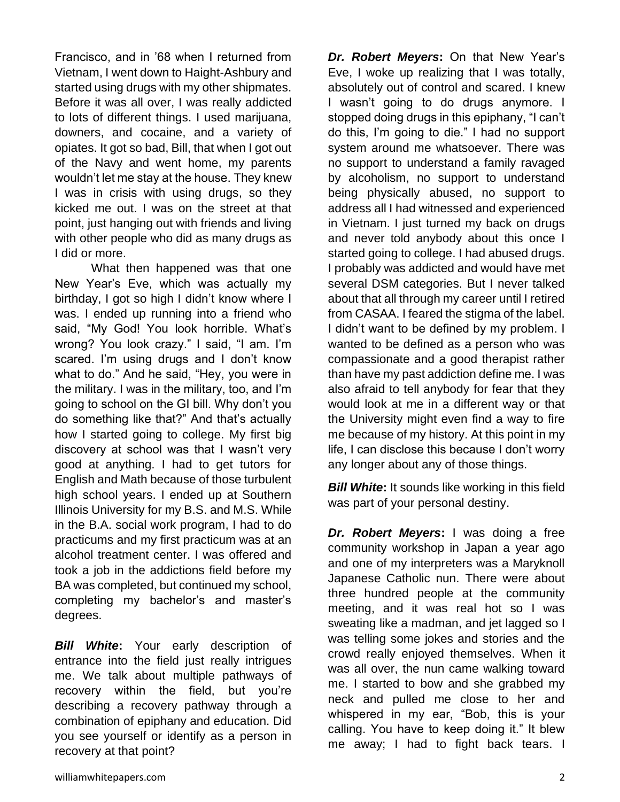Francisco, and in '68 when I returned from Vietnam, I went down to Haight-Ashbury and started using drugs with my other shipmates. Before it was all over, I was really addicted to lots of different things. I used marijuana, downers, and cocaine, and a variety of opiates. It got so bad, Bill, that when I got out of the Navy and went home, my parents wouldn't let me stay at the house. They knew I was in crisis with using drugs, so they kicked me out. I was on the street at that point, just hanging out with friends and living with other people who did as many drugs as I did or more.

What then happened was that one New Year's Eve, which was actually my birthday, I got so high I didn't know where I was. I ended up running into a friend who said, "My God! You look horrible. What's wrong? You look crazy." I said, "I am. I'm scared. I'm using drugs and I don't know what to do." And he said, "Hey, you were in the military. I was in the military, too, and I'm going to school on the GI bill. Why don't you do something like that?" And that's actually how I started going to college. My first big discovery at school was that I wasn't very good at anything. I had to get tutors for English and Math because of those turbulent high school years. I ended up at Southern Illinois University for my B.S. and M.S. While in the B.A. social work program, I had to do practicums and my first practicum was at an alcohol treatment center. I was offered and took a job in the addictions field before my BA was completed, but continued my school, completing my bachelor's and master's degrees.

*Bill White***:** Your early description of entrance into the field just really intrigues me. We talk about multiple pathways of recovery within the field, but you're describing a recovery pathway through a combination of epiphany and education. Did you see yourself or identify as a person in recovery at that point?

*Dr. Robert Meyers***:** On that New Year's Eve, I woke up realizing that I was totally, absolutely out of control and scared. I knew I wasn't going to do drugs anymore. I stopped doing drugs in this epiphany, "I can't do this, I'm going to die." I had no support system around me whatsoever. There was no support to understand a family ravaged by alcoholism, no support to understand being physically abused, no support to address all I had witnessed and experienced in Vietnam. I just turned my back on drugs and never told anybody about this once I started going to college. I had abused drugs. I probably was addicted and would have met several DSM categories. But I never talked about that all through my career until I retired from CASAA. I feared the stigma of the label. I didn't want to be defined by my problem. I wanted to be defined as a person who was compassionate and a good therapist rather than have my past addiction define me. I was also afraid to tell anybody for fear that they would look at me in a different way or that the University might even find a way to fire me because of my history. At this point in my life, I can disclose this because I don't worry any longer about any of those things.

**Bill White:** It sounds like working in this field was part of your personal destiny.

*Dr. Robert Meyers***:** I was doing a free community workshop in Japan a year ago and one of my interpreters was a Maryknoll Japanese Catholic nun. There were about three hundred people at the community meeting, and it was real hot so I was sweating like a madman, and jet lagged so I was telling some jokes and stories and the crowd really enjoyed themselves. When it was all over, the nun came walking toward me. I started to bow and she grabbed my neck and pulled me close to her and whispered in my ear, "Bob, this is your calling. You have to keep doing it." It blew me away; I had to fight back tears. I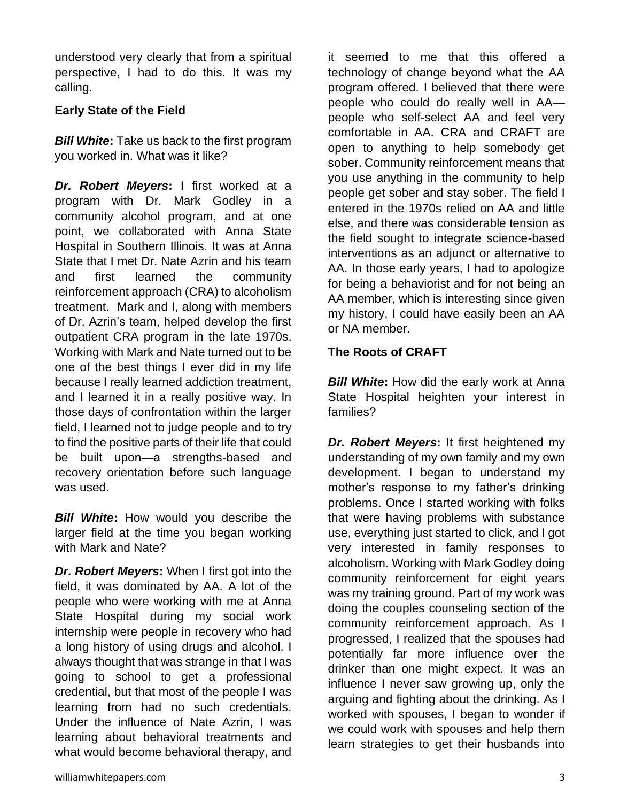understood very clearly that from a spiritual perspective, I had to do this. It was my calling.

## **Early State of the Field**

*Bill White***:** Take us back to the first program you worked in. What was it like?

*Dr. Robert Meyers***:** I first worked at a program with Dr. Mark Godley in a community alcohol program, and at one point, we collaborated with Anna State Hospital in Southern Illinois. It was at Anna State that I met Dr. Nate Azrin and his team and first learned the community reinforcement approach (CRA) to alcoholism treatment. Mark and I, along with members of Dr. Azrin's team, helped develop the first outpatient CRA program in the late 1970s. Working with Mark and Nate turned out to be one of the best things I ever did in my life because I really learned addiction treatment, and I learned it in a really positive way. In those days of confrontation within the larger field, I learned not to judge people and to try to find the positive parts of their life that could be built upon—a strengths-based and recovery orientation before such language was used.

*Bill White***:** How would you describe the larger field at the time you began working with Mark and Nate?

*Dr. Robert Meyers***:** When I first got into the field, it was dominated by AA. A lot of the people who were working with me at Anna State Hospital during my social work internship were people in recovery who had a long history of using drugs and alcohol. I always thought that was strange in that I was going to school to get a professional credential, but that most of the people I was learning from had no such credentials. Under the influence of Nate Azrin, I was learning about behavioral treatments and what would become behavioral therapy, and

it seemed to me that this offered a technology of change beyond what the AA program offered. I believed that there were people who could do really well in AA people who self-select AA and feel very comfortable in AA. CRA and CRAFT are open to anything to help somebody get sober. Community reinforcement means that you use anything in the community to help people get sober and stay sober. The field I entered in the 1970s relied on AA and little else, and there was considerable tension as the field sought to integrate science-based interventions as an adjunct or alternative to AA. In those early years, I had to apologize for being a behaviorist and for not being an AA member, which is interesting since given my history, I could have easily been an AA or NA member.

## **The Roots of CRAFT**

*Bill White***:** How did the early work at Anna State Hospital heighten your interest in families?

*Dr. Robert Meyers***:** It first heightened my understanding of my own family and my own development. I began to understand my mother's response to my father's drinking problems. Once I started working with folks that were having problems with substance use, everything just started to click, and I got very interested in family responses to alcoholism. Working with Mark Godley doing community reinforcement for eight years was my training ground. Part of my work was doing the couples counseling section of the community reinforcement approach. As I progressed, I realized that the spouses had potentially far more influence over the drinker than one might expect. It was an influence I never saw growing up, only the arguing and fighting about the drinking. As I worked with spouses, I began to wonder if we could work with spouses and help them learn strategies to get their husbands into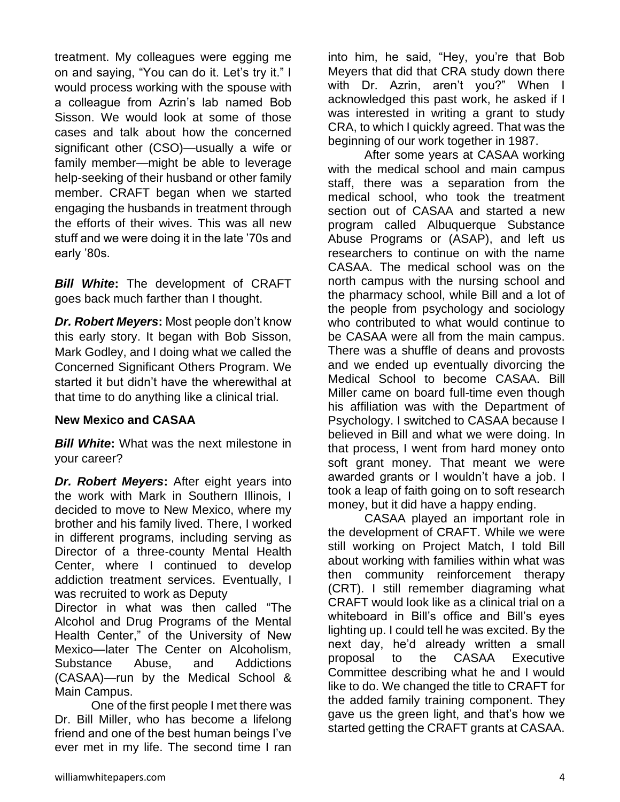treatment. My colleagues were egging me on and saying, "You can do it. Let's try it." I would process working with the spouse with a colleague from Azrin's lab named Bob Sisson. We would look at some of those cases and talk about how the concerned significant other (CSO)—usually a wife or family member—might be able to leverage help-seeking of their husband or other family member. CRAFT began when we started engaging the husbands in treatment through the efforts of their wives. This was all new stuff and we were doing it in the late '70s and early '80s.

*Bill White***:** The development of CRAFT goes back much farther than I thought.

*Dr. Robert Meyers***:** Most people don't know this early story. It began with Bob Sisson, Mark Godley, and I doing what we called the Concerned Significant Others Program. We started it but didn't have the wherewithal at that time to do anything like a clinical trial.

#### **New Mexico and CASAA**

*Bill White***:** What was the next milestone in your career?

*Dr. Robert Meyers***:** After eight years into the work with Mark in Southern Illinois, I decided to move to New Mexico, where my brother and his family lived. There, I worked in different programs, including serving as Director of a three-county Mental Health Center, where I continued to develop addiction treatment services. Eventually, I was recruited to work as Deputy

Director in what was then called "The Alcohol and Drug Programs of the Mental Health Center," of the University of New Mexico—later The Center on Alcoholism, Substance Abuse, and Addictions (CASAA)—run by the Medical School & Main Campus.

One of the first people I met there was Dr. Bill Miller, who has become a lifelong friend and one of the best human beings I've ever met in my life. The second time I ran

into him, he said, "Hey, you're that Bob Meyers that did that CRA study down there with Dr. Azrin, aren't you?" When I acknowledged this past work, he asked if I was interested in writing a grant to study CRA, to which I quickly agreed. That was the beginning of our work together in 1987.

After some years at CASAA working with the medical school and main campus staff, there was a separation from the medical school, who took the treatment section out of CASAA and started a new program called Albuquerque Substance Abuse Programs or (ASAP), and left us researchers to continue on with the name CASAA. The medical school was on the north campus with the nursing school and the pharmacy school, while Bill and a lot of the people from psychology and sociology who contributed to what would continue to be CASAA were all from the main campus. There was a shuffle of deans and provosts and we ended up eventually divorcing the Medical School to become CASAA. Bill Miller came on board full-time even though his affiliation was with the Department of Psychology. I switched to CASAA because I believed in Bill and what we were doing. In that process, I went from hard money onto soft grant money. That meant we were awarded grants or I wouldn't have a job. I took a leap of faith going on to soft research money, but it did have a happy ending.

CASAA played an important role in the development of CRAFT. While we were still working on Project Match, I told Bill about working with families within what was then community reinforcement therapy (CRT). I still remember diagraming what CRAFT would look like as a clinical trial on a whiteboard in Bill's office and Bill's eyes lighting up. I could tell he was excited. By the next day, he'd already written a small proposal to the CASAA Executive Committee describing what he and I would like to do. We changed the title to CRAFT for the added family training component. They gave us the green light, and that's how we started getting the CRAFT grants at CASAA.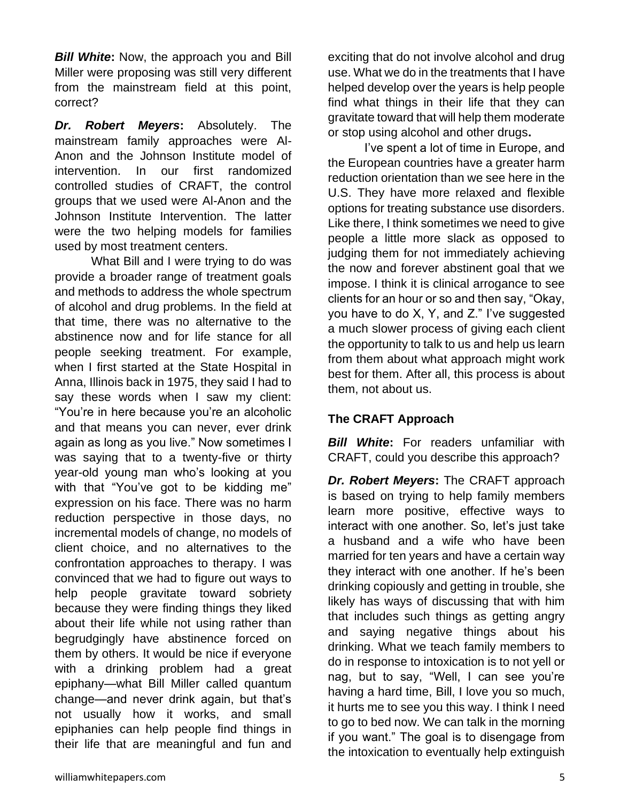*Bill White***:** Now, the approach you and Bill Miller were proposing was still very different from the mainstream field at this point, correct?

*Dr. Robert Meyers***:** Absolutely. The mainstream family approaches were Al-Anon and the Johnson Institute model of intervention. In our first randomized controlled studies of CRAFT, the control groups that we used were Al-Anon and the Johnson Institute Intervention. The latter were the two helping models for families used by most treatment centers.

What Bill and I were trying to do was provide a broader range of treatment goals and methods to address the whole spectrum of alcohol and drug problems. In the field at that time, there was no alternative to the abstinence now and for life stance for all people seeking treatment. For example, when I first started at the State Hospital in Anna, Illinois back in 1975, they said I had to say these words when I saw my client: "You're in here because you're an alcoholic and that means you can never, ever drink again as long as you live." Now sometimes I was saying that to a twenty-five or thirty year-old young man who's looking at you with that "You've got to be kidding me" expression on his face. There was no harm reduction perspective in those days, no incremental models of change, no models of client choice, and no alternatives to the confrontation approaches to therapy. I was convinced that we had to figure out ways to help people gravitate toward sobriety because they were finding things they liked about their life while not using rather than begrudgingly have abstinence forced on them by others. It would be nice if everyone with a drinking problem had a great epiphany—what Bill Miller called quantum change—and never drink again, but that's not usually how it works, and small epiphanies can help people find things in their life that are meaningful and fun and

I've spent a lot of time in Europe, and the European countries have a greater harm reduction orientation than we see here in the U.S. They have more relaxed and flexible options for treating substance use disorders. Like there, I think sometimes we need to give people a little more slack as opposed to judging them for not immediately achieving the now and forever abstinent goal that we impose. I think it is clinical arrogance to see clients for an hour or so and then say, "Okay, you have to do X, Y, and Z." I've suggested a much slower process of giving each client the opportunity to talk to us and help us learn from them about what approach might work best for them. After all, this process is about them, not about us.

## **The CRAFT Approach**

*Bill White***:** For readers unfamiliar with CRAFT, could you describe this approach?

*Dr. Robert Meyers***:** The CRAFT approach is based on trying to help family members learn more positive, effective ways to interact with one another. So, let's just take a husband and a wife who have been married for ten years and have a certain way they interact with one another. If he's been drinking copiously and getting in trouble, she likely has ways of discussing that with him that includes such things as getting angry and saying negative things about his drinking. What we teach family members to do in response to intoxication is to not yell or nag, but to say, "Well, I can see you're having a hard time, Bill, I love you so much, it hurts me to see you this way. I think I need to go to bed now. We can talk in the morning if you want." The goal is to disengage from the intoxication to eventually help extinguish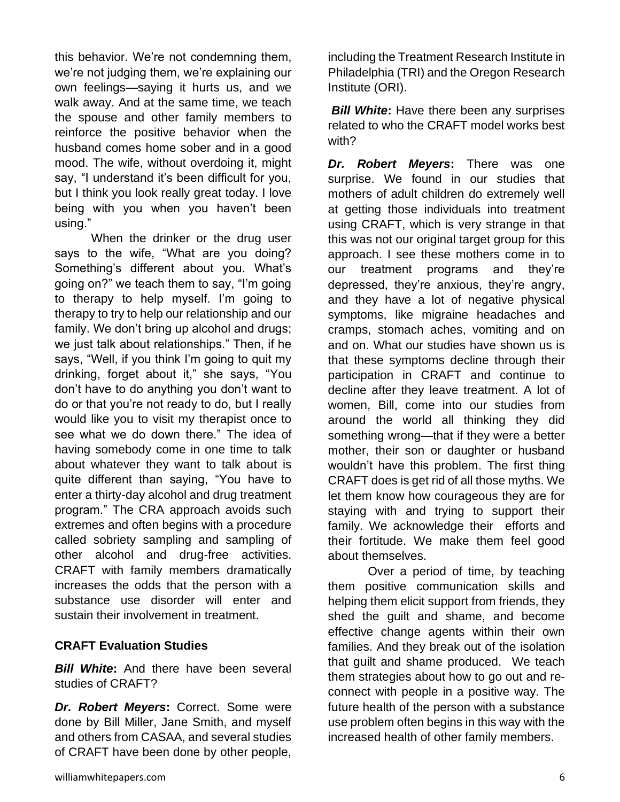this behavior. We're not condemning them, we're not judging them, we're explaining our own feelings—saying it hurts us, and we walk away. And at the same time, we teach the spouse and other family members to reinforce the positive behavior when the husband comes home sober and in a good mood. The wife, without overdoing it, might say, "I understand it's been difficult for you, but I think you look really great today. I love being with you when you haven't been using."

When the drinker or the drug user says to the wife, "What are you doing? Something's different about you. What's going on?" we teach them to say, "I'm going to therapy to help myself. I'm going to therapy to try to help our relationship and our family. We don't bring up alcohol and drugs; we just talk about relationships." Then, if he says, "Well, if you think I'm going to quit my drinking, forget about it," she says, "You don't have to do anything you don't want to do or that you're not ready to do, but I really would like you to visit my therapist once to see what we do down there." The idea of having somebody come in one time to talk about whatever they want to talk about is quite different than saying, "You have to enter a thirty-day alcohol and drug treatment program." The CRA approach avoids such extremes and often begins with a procedure called sobriety sampling and sampling of other alcohol and drug-free activities. CRAFT with family members dramatically increases the odds that the person with a substance use disorder will enter and sustain their involvement in treatment.

#### **CRAFT Evaluation Studies**

*Bill White***:** And there have been several studies of CRAFT?

*Dr. Robert Meyers***:** Correct. Some were done by Bill Miller, Jane Smith, and myself and others from CASAA, and several studies of CRAFT have been done by other people,

including the Treatment Research Institute in Philadelphia (TRI) and the Oregon Research Institute (ORI).

*Bill White***:** Have there been any surprises related to who the CRAFT model works best with?

*Dr. Robert Meyers***:** There was one surprise. We found in our studies that mothers of adult children do extremely well at getting those individuals into treatment using CRAFT, which is very strange in that this was not our original target group for this approach. I see these mothers come in to our treatment programs and they're depressed, they're anxious, they're angry, and they have a lot of negative physical symptoms, like migraine headaches and cramps, stomach aches, vomiting and on and on. What our studies have shown us is that these symptoms decline through their participation in CRAFT and continue to decline after they leave treatment. A lot of women, Bill, come into our studies from around the world all thinking they did something wrong—that if they were a better mother, their son or daughter or husband wouldn't have this problem. The first thing CRAFT does is get rid of all those myths. We let them know how courageous they are for staying with and trying to support their family. We acknowledge their efforts and their fortitude. We make them feel good about themselves.

Over a period of time, by teaching them positive communication skills and helping them elicit support from friends, they shed the guilt and shame, and become effective change agents within their own families. And they break out of the isolation that guilt and shame produced. We teach them strategies about how to go out and reconnect with people in a positive way. The future health of the person with a substance use problem often begins in this way with the increased health of other family members.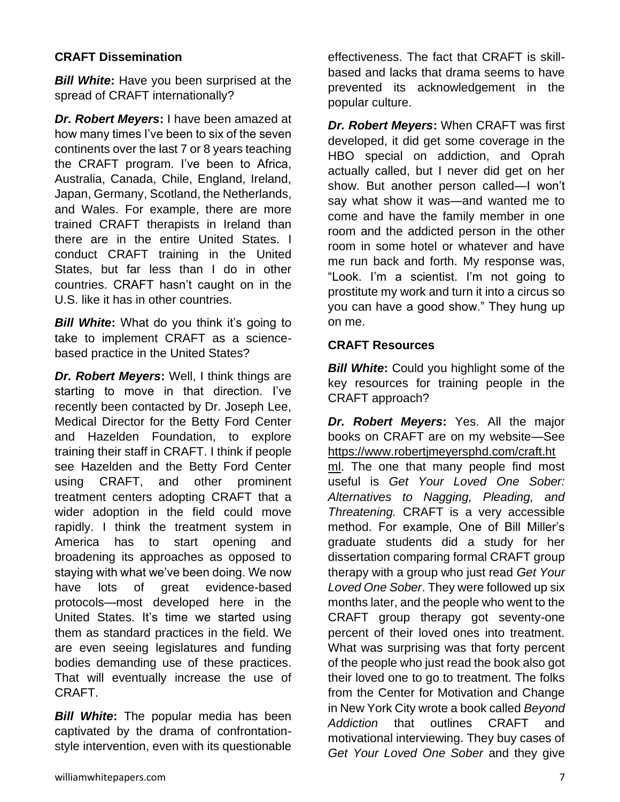## **CRAFT Dissemination**

*Bill White***:** Have you been surprised at the spread of CRAFT internationally?

*Dr. Robert Meyers***:** I have been amazed at how many times I've been to six of the seven continents over the last 7 or 8 years teaching the CRAFT program. I've been to Africa, Australia, Canada, Chile, England, Ireland, Japan, Germany, Scotland, the Netherlands, and Wales. For example, there are more trained CRAFT therapists in Ireland than there are in the entire United States. I conduct CRAFT training in the United States, but far less than I do in other countries. CRAFT hasn't caught on in the U.S. like it has in other countries.

*Bill White***:** What do you think it's going to take to implement CRAFT as a sciencebased practice in the United States?

*Dr. Robert Meyers***:** Well, I think things are starting to move in that direction. I've recently been contacted by Dr. Joseph Lee, Medical Director for the Betty Ford Center and Hazelden Foundation, to explore training their staff in CRAFT. I think if people see Hazelden and the Betty Ford Center using CRAFT, and other prominent treatment centers adopting CRAFT that a wider adoption in the field could move rapidly. I think the treatment system in America has to start opening and broadening its approaches as opposed to staying with what we've been doing. We now have lots of great evidence-based protocols—most developed here in the United States. It's time we started using them as standard practices in the field. We are even seeing legislatures and funding bodies demanding use of these practices. That will eventually increase the use of CRAFT.

*Bill White***:** The popular media has been captivated by the drama of confrontationstyle intervention, even with its questionable

effectiveness. The fact that CRAFT is skillbased and lacks that drama seems to have prevented its acknowledgement in the popular culture.

*Dr. Robert Meyers***:** When CRAFT was first developed, it did get some coverage in the HBO special on addiction, and Oprah actually called, but I never did get on her show. But another person called—I won't say what show it was—and wanted me to come and have the family member in one room and the addicted person in the other room in some hotel or whatever and have me run back and forth. My response was, "Look. I'm a scientist. I'm not going to prostitute my work and turn it into a circus so you can have a good show." They hung up on me.

## **CRAFT Resources**

**Bill White:** Could you highlight some of the key resources for training people in the CRAFT approach?

*Dr. Robert Meyers***:** Yes. All the major books on CRAFT are on my website—See [https://www.robertjmeyersphd.com/craft.ht](https://www.robertjmeyersphd.com/craft.html) [ml.](https://www.robertjmeyersphd.com/craft.html) The one that many people find most useful is *Get Your Loved One Sober: Alternatives to Nagging, Pleading, and Threatening.* CRAFT is a very accessible method. For example, One of Bill Miller's graduate students did a study for her dissertation comparing formal CRAFT group therapy with a group who just read *Get Your Loved One Sober*. They were followed up six months later, and the people who went to the CRAFT group therapy got seventy-one percent of their loved ones into treatment. What was surprising was that forty percent of the people who just read the book also got their loved one to go to treatment. The folks from the Center for Motivation and Change in New York City wrote a book called *Beyond Addiction* that outlines CRAFT and motivational interviewing. They buy cases of *Get Your Loved One Sober* and they give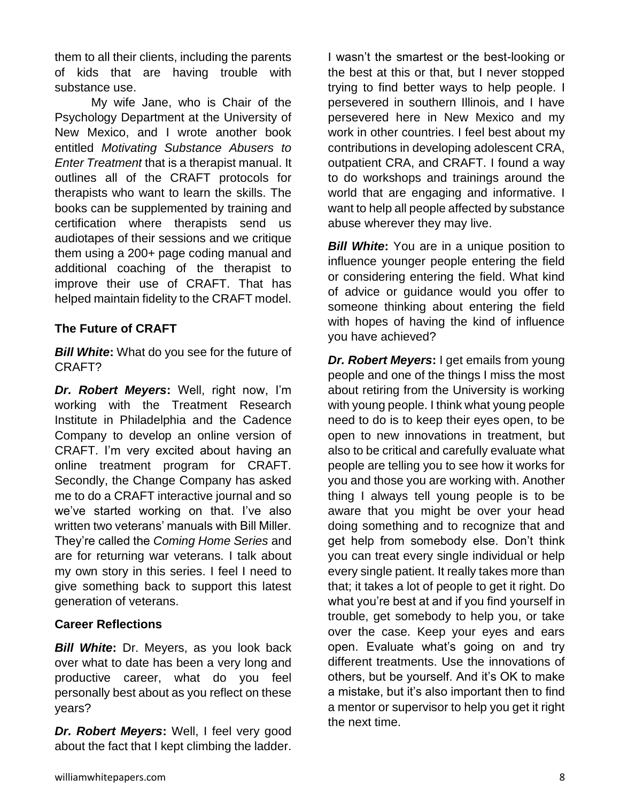them to all their clients, including the parents of kids that are having trouble with substance use.

My wife Jane, who is Chair of the Psychology Department at the University of New Mexico, and I wrote another book entitled *Motivating Substance Abusers to Enter Treatment* that is a therapist manual. It outlines all of the CRAFT protocols for therapists who want to learn the skills. The books can be supplemented by training and certification where therapists send us audiotapes of their sessions and we critique them using a 200+ page coding manual and additional coaching of the therapist to improve their use of CRAFT. That has helped maintain fidelity to the CRAFT model.

## **The Future of CRAFT**

*Bill White***:** What do you see for the future of CRAFT?

*Dr. Robert Meyers***:** Well, right now, I'm working with the Treatment Research Institute in Philadelphia and the Cadence Company to develop an online version of CRAFT. I'm very excited about having an online treatment program for CRAFT. Secondly, the Change Company has asked me to do a CRAFT interactive journal and so we've started working on that. I've also written two veterans' manuals with Bill Miller. They're called the *Coming Home Series* and are for returning war veterans. I talk about my own story in this series. I feel I need to give something back to support this latest generation of veterans.

#### **Career Reflections**

*Bill White***:** Dr. Meyers, as you look back over what to date has been a very long and productive career, what do you feel personally best about as you reflect on these years?

*Dr. Robert Meyers***:** Well, I feel very good about the fact that I kept climbing the ladder.

I wasn't the smartest or the best-looking or the best at this or that, but I never stopped trying to find better ways to help people. I persevered in southern Illinois, and I have persevered here in New Mexico and my work in other countries. I feel best about my contributions in developing adolescent CRA, outpatient CRA, and CRAFT. I found a way to do workshops and trainings around the world that are engaging and informative. I want to help all people affected by substance abuse wherever they may live.

**Bill White:** You are in a unique position to influence younger people entering the field or considering entering the field. What kind of advice or guidance would you offer to someone thinking about entering the field with hopes of having the kind of influence you have achieved?

*Dr. Robert Meyers***:** I get emails from young people and one of the things I miss the most about retiring from the University is working with young people. I think what young people need to do is to keep their eyes open, to be open to new innovations in treatment, but also to be critical and carefully evaluate what people are telling you to see how it works for you and those you are working with. Another thing I always tell young people is to be aware that you might be over your head doing something and to recognize that and get help from somebody else. Don't think you can treat every single individual or help every single patient. It really takes more than that; it takes a lot of people to get it right. Do what you're best at and if you find yourself in trouble, get somebody to help you, or take over the case. Keep your eyes and ears open. Evaluate what's going on and try different treatments. Use the innovations of others, but be yourself. And it's OK to make a mistake, but it's also important then to find a mentor or supervisor to help you get it right the next time.